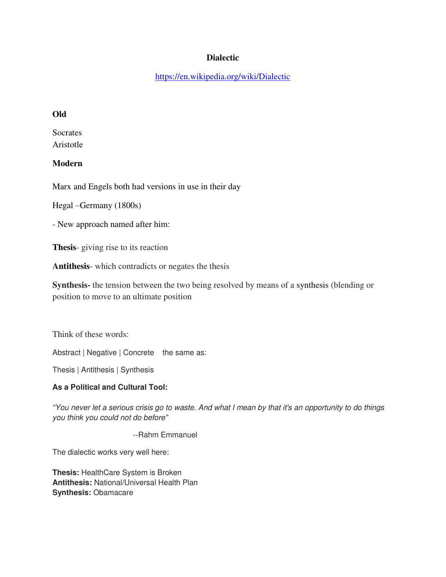## **Dialectic**

<https://en.wikipedia.org/wiki/Dialectic>

## **Old**

**Socrates** Aristotle

# **Modern**

Marx and Engels both had versions in use in their day

Hegal –Germany (1800s)

- New approach named after him:

**Thesis**- giving rise to its reaction

**Antithesis**- which contradicts or negates the thesis

**Synthesis-** the tension between the two being resolved by means of a synthesis (blending or position to move to an ultimate position

Think of these words:

Abstract | Negative | Concrete the same as:

Thesis | Antithesis | Synthesis

#### **As a Political and Cultural Tool:**

*"You never let a serious crisis go to waste. And what I mean by that it's an opportunity to do things you think you could not do before"*

--Rahm Emmanuel

The dialectic works very well here:

**Thesis:** HealthCare System is Broken **Antithesis:** National/Universal Health Plan **Synthesis:** Obamacare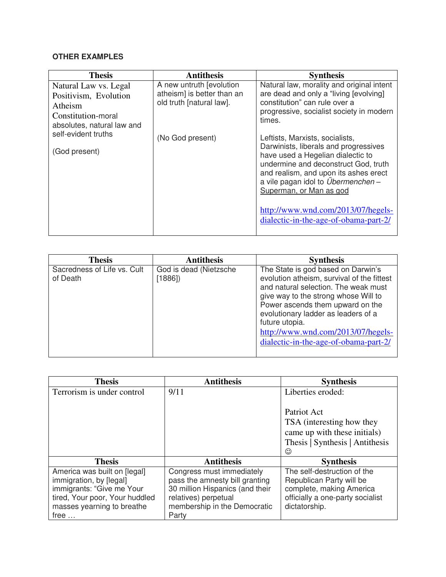# **OTHER EXAMPLES**

| <b>Thesis</b>                                                                                                                                         | <b>Antithesis</b>                                                                                      | <b>Synthesis</b>                                                                                                                                                                                                                                                                                                                                                                                                                                                                                                                    |
|-------------------------------------------------------------------------------------------------------------------------------------------------------|--------------------------------------------------------------------------------------------------------|-------------------------------------------------------------------------------------------------------------------------------------------------------------------------------------------------------------------------------------------------------------------------------------------------------------------------------------------------------------------------------------------------------------------------------------------------------------------------------------------------------------------------------------|
| Natural Law vs. Legal<br>Positivism, Evolution<br>Atheism<br>Constitution-moral<br>absolutes, natural law and<br>self-evident truths<br>(God present) | A new untruth [evolution<br>atheism] is better than an<br>old truth [natural law].<br>(No God present) | Natural law, morality and original intent<br>are dead and only a "living [evolving]<br>constitution" can rule over a<br>progressive, socialist society in modern<br>times.<br>Leftists, Marxists, socialists,<br>Darwinists, liberals and progressives<br>have used a Hegelian dialectic to<br>undermine and deconstruct God, truth<br>and realism, and upon its ashes erect<br>a vile pagan idol to <i>Übermenchen</i> -<br>Superman, or Man as god<br>http://www.wnd.com/2013/07/hegels-<br>dialectic-in-the-age-of-obama-part-2/ |
|                                                                                                                                                       |                                                                                                        |                                                                                                                                                                                                                                                                                                                                                                                                                                                                                                                                     |

| <b>Thesis</b>                           | <b>Antithesis</b>                | <b>Synthesis</b>                                                                                                                                                                                                                                                                                                                             |
|-----------------------------------------|----------------------------------|----------------------------------------------------------------------------------------------------------------------------------------------------------------------------------------------------------------------------------------------------------------------------------------------------------------------------------------------|
| Sacredness of Life vs. Cult<br>of Death | God is dead (Nietzsche<br>[1886] | The State is god based on Darwin's<br>evolution atheism, survival of the fittest<br>and natural selection. The weak must<br>give way to the strong whose Will to<br>Power ascends them upward on the<br>evolutionary ladder as leaders of a<br>future utopia.<br>http://www.wnd.com/2013/07/hegels-<br>dialectic-in-the-age-of-obama-part-2/ |

| <b>Thesis</b>                  | <b>Antithesis</b>               | <b>Synthesis</b>                 |
|--------------------------------|---------------------------------|----------------------------------|
| Terrorism is under control     | 9/11                            | Liberties eroded:                |
|                                |                                 |                                  |
|                                |                                 | Patriot Act                      |
|                                |                                 | TSA (interesting how they        |
|                                |                                 | came up with these initials)     |
|                                |                                 | Thesis   Synthesis   Antithesis  |
|                                |                                 | $\odot$                          |
| <b>Thesis</b>                  | <b>Antithesis</b>               | <b>Synthesis</b>                 |
| America was built on [legal]   | Congress must immediately       | The self-destruction of the      |
| immigration, by [legal]        | pass the amnesty bill granting  | Republican Party will be         |
| immigrants: "Give me Your      | 30 million Hispanics (and their | complete, making America         |
| tired, Your poor, Your huddled | relatives) perpetual            | officially a one-party socialist |
| masses yearning to breathe     | membership in the Democratic    | dictatorship.                    |
| free                           | Party                           |                                  |